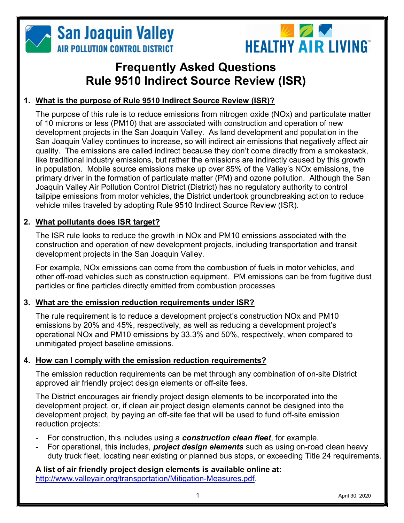



# Frequently Asked Questions Rule 9510 Indirect Source Review (ISR)

# 1. What is the purpose of Rule 9510 Indirect Source Review (ISR)?

The purpose of this rule is to reduce emissions from nitrogen oxide (NOx) and particulate matter of 10 microns or less (PM10) that are associated with construction and operation of new development projects in the San Joaquin Valley. As land development and population in the San Joaquin Valley continues to increase, so will indirect air emissions that negatively affect air quality. The emissions are called indirect because they don't come directly from a smokestack, like traditional industry emissions, but rather the emissions are indirectly caused by this growth in population. Mobile source emissions make up over 85% of the Valley's NOx emissions, the primary driver in the formation of particulate matter (PM) and ozone pollution. Although the San Joaquin Valley Air Pollution Control District (District) has no regulatory authority to control tailpipe emissions from motor vehicles, the District undertook groundbreaking action to reduce vehicle miles traveled by adopting Rule 9510 Indirect Source Review (ISR).

# 2. What pollutants does ISR target?

The ISR rule looks to reduce the growth in NOx and PM10 emissions associated with the construction and operation of new development projects, including transportation and transit development projects in the San Joaquin Valley.

For example, NOx emissions can come from the combustion of fuels in motor vehicles, and other off-road vehicles such as construction equipment. PM emissions can be from fugitive dust particles or fine particles directly emitted from combustion processes

# 3. What are the emission reduction requirements under ISR?

The rule requirement is to reduce a development project's construction NOx and PM10 emissions by 20% and 45%, respectively, as well as reducing a development project's operational NOx and PM10 emissions by 33.3% and 50%, respectively, when compared to unmitigated project baseline emissions.

## 4. How can I comply with the emission reduction requirements?

The emission reduction requirements can be met through any combination of on-site District approved air friendly project design elements or off-site fees.

The District encourages air friendly project design elements to be incorporated into the development project, or, if clean air project design elements cannot be designed into the development project, by paying an off-site fee that will be used to fund off-site emission reduction projects:

- For construction, this includes using a **construction clean fleet**, for example.
- For operational, this includes, **project design elements** such as using on-road clean heavy duty truck fleet, locating near existing or planned bus stops, or exceeding Title 24 requirements.

A list of air friendly project design elements is available online at: http://www.valleyair.org/transportation/Mitigation-Measures.pdf.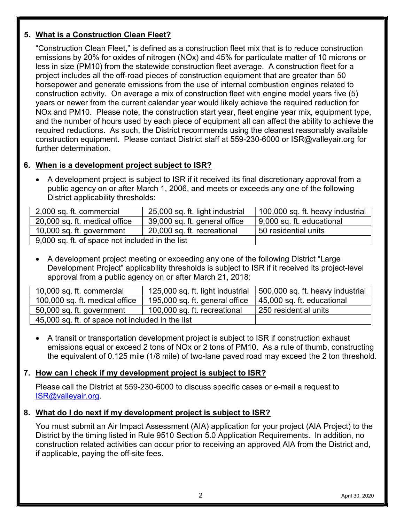# 5. What is a Construction Clean Fleet?

"Construction Clean Fleet," is defined as a construction fleet mix that is to reduce construction emissions by 20% for oxides of nitrogen (NOx) and 45% for particulate matter of 10 microns or less in size (PM10) from the statewide construction fleet average. A construction fleet for a project includes all the off-road pieces of construction equipment that are greater than 50 horsepower and generate emissions from the use of internal combustion engines related to construction activity. On average a mix of construction fleet with engine model years five (5) years or newer from the current calendar year would likely achieve the required reduction for NOx and PM10. Please note, the construction start year, fleet engine year mix, equipment type, and the number of hours used by each piece of equipment all can affect the ability to achieve the required reductions. As such, the District recommends using the cleanest reasonably available construction equipment. Please contact District staff at 559-230-6000 or ISR@valleyair.org for further determination.

# 6. When is a development project subject to ISR?

 A development project is subject to ISR if it received its final discretionary approval from a public agency on or after March 1, 2006, and meets or exceeds any one of the following District applicability thresholds:

| 2,000 sq. ft. commercial                        | 25,000 sq. ft. light industrial | 100,000 sq. ft. heavy industrial |
|-------------------------------------------------|---------------------------------|----------------------------------|
| 20,000 sq. ft. medical office                   | 39,000 sq. ft. general office   | 9,000 sq. ft. educational        |
| 10,000 sq. ft. government                       | 20,000 sq. ft. recreational     | 50 residential units             |
| 9,000 sq. ft. of space not included in the list |                                 |                                  |

 A development project meeting or exceeding any one of the following District "Large Development Project" applicability thresholds is subject to ISR if it received its project-level approval from a public agency on or after March 21, 2018:

| 10,000 sq. ft. commercial                        | 125,000 sq. ft. light industrial | 500,000 sq. ft. heavy industrial |
|--------------------------------------------------|----------------------------------|----------------------------------|
| 100,000 sq. ft. medical office                   | 195,000 sq. ft. general office   | 45,000 sq. ft. educational       |
| 50,000 sq. ft. government                        | 100,000 sq. ft. recreational     | 250 residential units            |
| 45,000 sq. ft. of space not included in the list |                                  |                                  |

 A transit or transportation development project is subject to ISR if construction exhaust emissions equal or exceed 2 tons of NOx or 2 tons of PM10. As a rule of thumb, constructing the equivalent of 0.125 mile (1/8 mile) of two-lane paved road may exceed the 2 ton threshold.

# 7. How can I check if my development project is subject to ISR?

Please call the District at 559-230-6000 to discuss specific cases or e-mail a request to ISR@valleyair.org.

## 8. What do I do next if my development project is subject to ISR?

You must submit an Air Impact Assessment (AIA) application for your project (AIA Project) to the District by the timing listed in Rule 9510 Section 5.0 Application Requirements. In addition, no construction related activities can occur prior to receiving an approved AIA from the District and, if applicable, paying the off-site fees.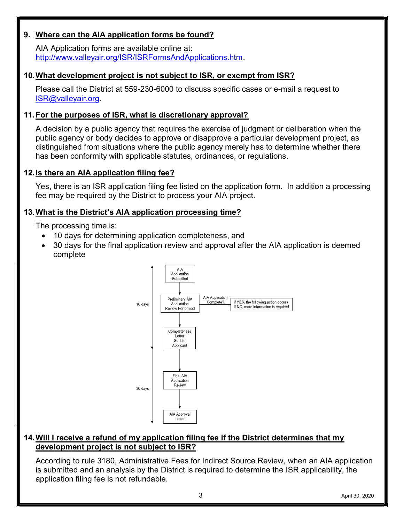## 9. Where can the AIA application forms be found?

AIA Application forms are available online at: http://www.valleyair.org/ISR/ISRFormsAndApplications.htm.

#### 10. What development project is not subject to ISR, or exempt from ISR?

Please call the District at 559-230-6000 to discuss specific cases or e-mail a request to ISR@valleyair.org.

#### 11. For the purposes of ISR, what is discretionary approval?

A decision by a public agency that requires the exercise of judgment or deliberation when the public agency or body decides to approve or disapprove a particular development project, as distinguished from situations where the public agency merely has to determine whether there has been conformity with applicable statutes, ordinances, or regulations.

#### 12. Is there an AIA application filing fee?

Yes, there is an ISR application filing fee listed on the application form. In addition a processing fee may be required by the District to process your AIA project.

#### 13. What is the District's AIA application processing time?

The processing time is:

- 10 days for determining application completeness, and
- 30 days for the final application review and approval after the AIA application is deemed complete



#### 14. Will I receive a refund of my application filing fee if the District determines that my development project is not subject to ISR?

According to rule 3180, Administrative Fees for Indirect Source Review, when an AIA application is submitted and an analysis by the District is required to determine the ISR applicability, the application filing fee is not refundable.